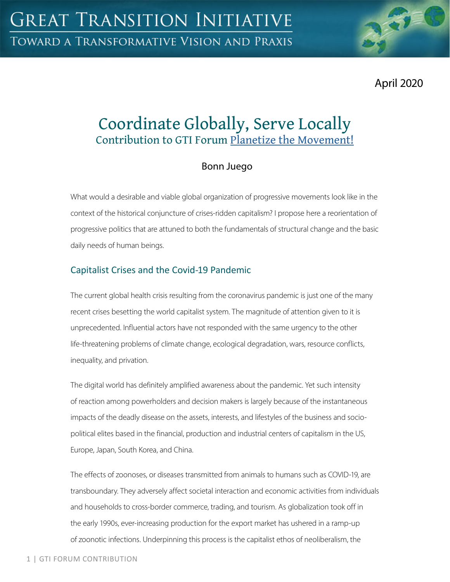April 2020

# Coordinate Globally, Serve Locally Contribution to GTI Forum [Planetize the Movement!](https://greattransition.org/gti-forum/planetize-the-movement)

## Bonn Juego

What would a desirable and viable global organization of progressive movements look like in the context of the historical conjuncture of crises-ridden capitalism? I propose here a reorientation of progressive politics that are attuned to both the fundamentals of structural change and the basic daily needs of human beings.

## Capitalist Crises and the Covid-19 Pandemic

The current global health crisis resulting from the coronavirus pandemic is just one of the many recent crises besetting the world capitalist system. The magnitude of attention given to it is unprecedented. Influential actors have not responded with the same urgency to the other life-threatening problems of climate change, ecological degradation, wars, resource conflicts, inequality, and privation.

The digital world has definitely amplified awareness about the pandemic. Yet such intensity of reaction among powerholders and decision makers is largely because of the instantaneous impacts of the deadly disease on the assets, interests, and lifestyles of the business and sociopolitical elites based in the financial, production and industrial centers of capitalism in the US, Europe, Japan, South Korea, and China.

The effects of zoonoses, or diseases transmitted from animals to humans such as COVID-19, are transboundary. They adversely affect societal interaction and economic activities from individuals and households to cross-border commerce, trading, and tourism. As globalization took off in the early 1990s, ever-increasing production for the export market has ushered in a ramp-up of zoonotic infections. Underpinning this process is the capitalist ethos of neoliberalism, the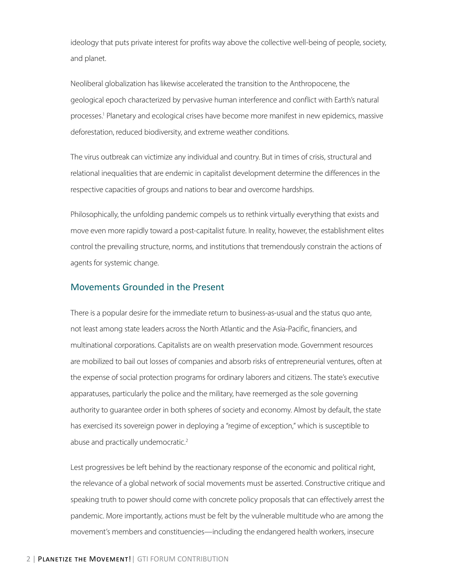ideology that puts private interest for profits way above the collective well-being of people, society, and planet.

Neoliberal globalization has likewise accelerated the transition to the Anthropocene, the geological epoch characterized by pervasive human interference and conflict with Earth's natural processes.<sup>1</sup> Planetary and ecological crises have become more manifest in new epidemics, massive deforestation, reduced biodiversity, and extreme weather conditions.

The virus outbreak can victimize any individual and country. But in times of crisis, structural and relational inequalities that are endemic in capitalist development determine the differences in the respective capacities of groups and nations to bear and overcome hardships.

Philosophically, the unfolding pandemic compels us to rethink virtually everything that exists and move even more rapidly toward a post-capitalist future. In reality, however, the establishment elites control the prevailing structure, norms, and institutions that tremendously constrain the actions of agents for systemic change.

#### Movements Grounded in the Present

There is a popular desire for the immediate return to business-as-usual and the status quo ante, not least among state leaders across the North Atlantic and the Asia-Pacific, financiers, and multinational corporations. Capitalists are on wealth preservation mode. Government resources are mobilized to bail out losses of companies and absorb risks of entrepreneurial ventures, often at the expense of social protection programs for ordinary laborers and citizens. The state's executive apparatuses, particularly the police and the military, have reemerged as the sole governing authority to guarantee order in both spheres of society and economy. Almost by default, the state has exercised its sovereign power in deploying a "regime of exception," which is susceptible to abuse and practically undemocratic.<sup>2</sup>

Lest progressives be left behind by the reactionary response of the economic and political right, the relevance of a global network of social movements must be asserted. Constructive critique and speaking truth to power should come with concrete policy proposals that can effectively arrest the pandemic. More importantly, actions must be felt by the vulnerable multitude who are among the movement's members and constituencies—including the endangered health workers, insecure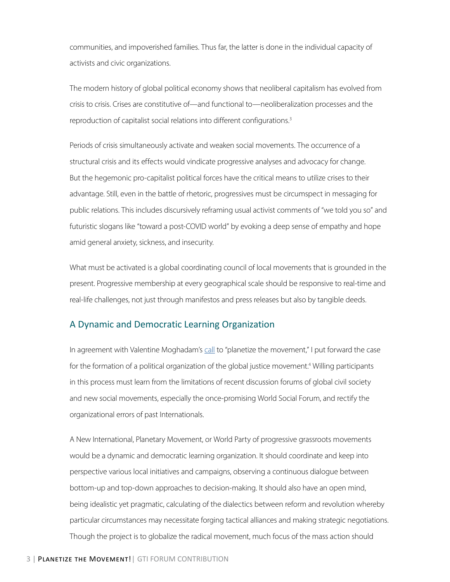communities, and impoverished families. Thus far, the latter is done in the individual capacity of activists and civic organizations.

The modern history of global political economy shows that neoliberal capitalism has evolved from crisis to crisis. Crises are constitutive of—and functional to—neoliberalization processes and the reproduction of capitalist social relations into different configurations.<sup>3</sup>

Periods of crisis simultaneously activate and weaken social movements. The occurrence of a structural crisis and its effects would vindicate progressive analyses and advocacy for change. But the hegemonic pro-capitalist political forces have the critical means to utilize crises to their advantage. Still, even in the battle of rhetoric, progressives must be circumspect in messaging for public relations. This includes discursively reframing usual activist comments of "we told you so" and futuristic slogans like "toward a post-COVID world" by evoking a deep sense of empathy and hope amid general anxiety, sickness, and insecurity.

What must be activated is a global coordinating council of local movements that is grounded in the present. Progressive membership at every geographical scale should be responsive to real-time and real-life challenges, not just through manifestos and press releases but also by tangible deeds.

#### A Dynamic and Democratic Learning Organization

In agreement with Valentine Moghadam's [ca](https://greattransition.org/gti-forum/planetize-movement-moghadam)ll to "planetize the movement," I put forward the case for the formation of a political organization of the global justice movement.<sup>4</sup> Willing participants in this process must learn from the limitations of recent discussion forums of global civil society and new social movements, especially the once-promising World Social Forum, and rectify the organizational errors of past Internationals.

A New International, Planetary Movement, or World Party of progressive grassroots movements would be a dynamic and democratic learning organization. It should coordinate and keep into perspective various local initiatives and campaigns, observing a continuous dialogue between bottom-up and top-down approaches to decision-making. It should also have an open mind, being idealistic yet pragmatic, calculating of the dialectics between reform and revolution whereby particular circumstances may necessitate forging tactical alliances and making strategic negotiations. Though the project is to globalize the radical movement, much focus of the mass action should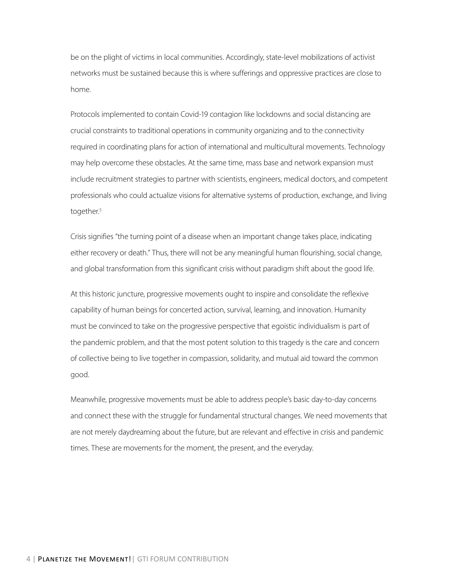be on the plight of victims in local communities. Accordingly, state-level mobilizations of activist networks must be sustained because this is where sufferings and oppressive practices are close to home.

Protocols implemented to contain Covid-19 contagion like lockdowns and social distancing are crucial constraints to traditional operations in community organizing and to the connectivity required in coordinating plans for action of international and multicultural movements. Technology may help overcome these obstacles. At the same time, mass base and network expansion must include recruitment strategies to partner with scientists, engineers, medical doctors, and competent professionals who could actualize visions for alternative systems of production, exchange, and living together.<sup>5</sup>

Crisis signifies "the turning point of a disease when an important change takes place, indicating either recovery or death." Thus, there will not be any meaningful human flourishing, social change, and global transformation from this significant crisis without paradigm shift about the good life.

At this historic juncture, progressive movements ought to inspire and consolidate the reflexive capability of human beings for concerted action, survival, learning, and innovation. Humanity must be convinced to take on the progressive perspective that egoistic individualism is part of the pandemic problem, and that the most potent solution to this tragedy is the care and concern of collective being to live together in compassion, solidarity, and mutual aid toward the common good.

Meanwhile, progressive movements must be able to address people's basic day-to-day concerns and connect these with the struggle for fundamental structural changes. We need movements that are not merely daydreaming about the future, but are relevant and effective in crisis and pandemic times. These are movements for the moment, the present, and the everyday.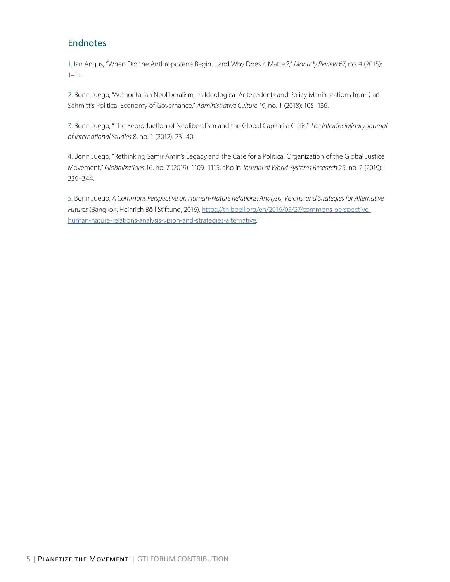### Endnotes

1. Ian Angus, "When Did the Anthropocene Begin…and Why Does it Matter?," *Monthly Review* 67, no. 4 (2015):  $1 - 11$ .

2. Bonn Juego, "Authoritarian Neoliberalism: Its Ideological Antecedents and Policy Manifestations from Carl Schmitt's Political Economy of Governance," *Administrative Culture* 19, no. 1 (2018): 105–136.

3. Bonn Juego, "The Reproduction of Neoliberalism and the Global Capitalist Crisis," *The Interdisciplinary Journal of International Studies* 8, no. 1 (2012): 23–40.

4. Bonn Juego, "Rethinking Samir Amin's Legacy and the Case for a Political Organization of the Global Justice Movement," *Globalizations* 16, no. 7 (2019): 1109–1115; also in *Journal of World-Systems Research* 25, no. 2 (2019): 336–344.

5. Bonn Juego, *A Commons Perspective on Human-Nature Relations: Analysis, Visions, and Strategies for Alternative Futures* (Bangkok: Heinrich Böll Stiftung, 2016), [https://th.boell.org/en/2016/05/27/commons-perspective](https://th.boell.org/en/2016/05/27/commons-perspective-human-nature-relations-analysis-vision-and-strategies-alternative)[human-nature-relations-analysis-vision-and-strategies-alternative.](https://th.boell.org/en/2016/05/27/commons-perspective-human-nature-relations-analysis-vision-and-strategies-alternative)